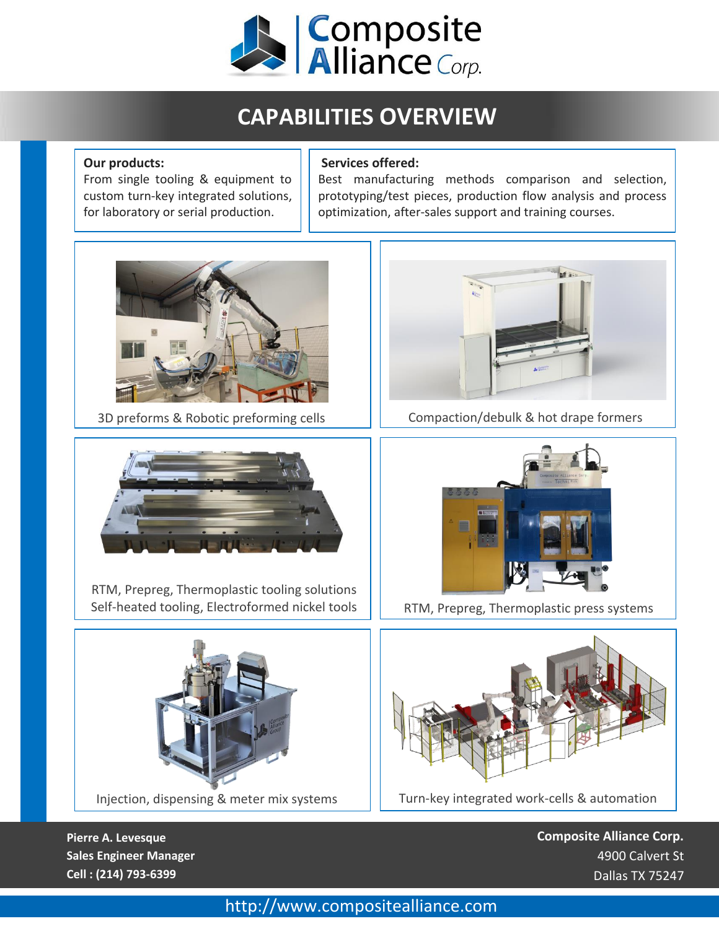

# **CAPABILITIES OVERVIEW**

### **Our products:**

From single tooling & equipment to custom turn-key integrated solutions, for laboratory or serial production.

### **Services offered:**

Best manufacturing methods comparison and selection, prototyping/test pieces, production flow analysis and process optimization, after-sales support and training courses.





RTM, Prepreg, Thermoplastic tooling solutions Self-heated tooling, Electroformed nickel tools  $\|\cdot\|$  RTM, Prepreg, Thermoplastic press systems



Injection, dispensing & meter mix systems





Turn-key integrated work-cells & automation

**Pierre A. Levesque Sales Engineer Manager Cell : (214) 793-6399**

**Composite Alliance Corp.** 4900 Calvert St Dallas TX 75247

### http://www.compositealliance.com